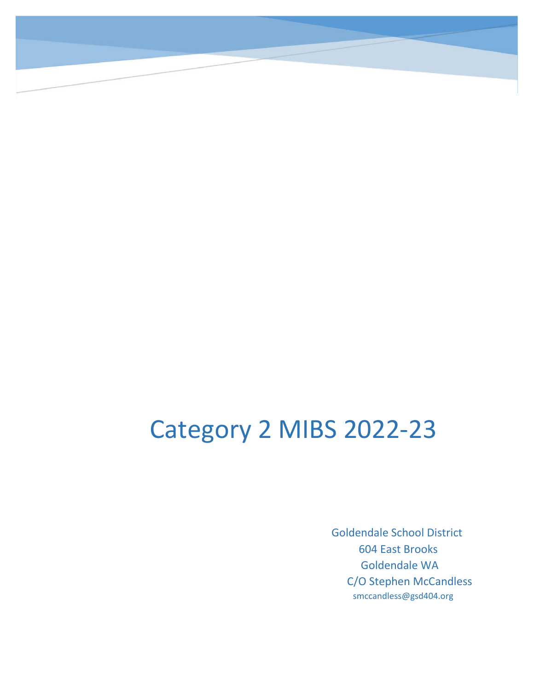# Category 2 MIBS 2022-23

 Goldendale School District 604 East Brooks Goldendale WA C/O Stephen McCandless smccandless@gsd404.org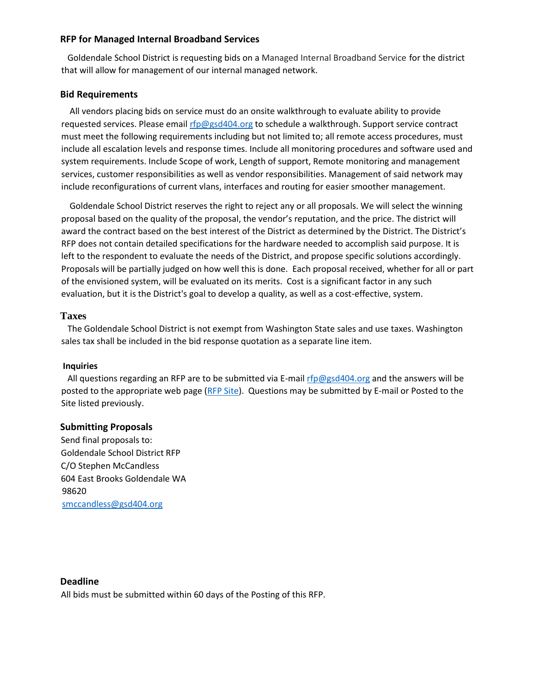## **RFP for Managed Internal Broadband Services**

 Goldendale School District is requesting bids on a Managed Internal Broadband Service for the district that will allow for management of our internal managed network.

# **Bid Requirements**

 All vendors placing bids on service must do an onsite walkthrough to evaluate ability to provide requested services. Please email rfp@gsd404.org to schedule a walkthrough. Support service contract must meet the following requirements including but not limited to; all remote access procedures, must include all escalation levels and response times. Include all monitoring procedures and software used and system requirements. Include Scope of work, Length of support, Remote monitoring and management services, customer responsibilities as well as vendor responsibilities. Management of said network may include reconfigurations of current vlans, interfaces and routing for easier smoother management.

 Goldendale School District reserves the right to reject any or all proposals. We will select the winning proposal based on the quality of the proposal, the vendor's reputation, and the price. The district will award the contract based on the best interest of the District as determined by the District. The District's RFP does not contain detailed specifications for the hardware needed to accomplish said purpose. It is left to the respondent to evaluate the needs of the District, and propose specific solutions accordingly. Proposals will be partially judged on how well this is done. Each proposal received, whether for all or part of the envisioned system, will be evaluated on its merits. Cost is a significant factor in any such evaluation, but it is the District's goal to develop a quality, as well as a cost-effective, system.

# **Taxes**

 The Goldendale School District is not exempt from Washington State sales and use taxes. Washington sales tax shall be included in the bid response quotation as a separate line item.

## **Inquiries**

All questions regarding an RFP are to be submitted via E-mail rfp@gsd404.org and the answers will be posted to the appropriate web page [\(RFP S](https://www.goldendaleschools.org/Page/70)[ite\). Q](https://sites.google.com/a/gsd404.org/goldendale-rfp/)uestions may be submitted by E-mail or Posted to the Site listed previously.

## **Submitting Proposals**

Send final proposals to: Goldendale School District RFP C/O Stephen McCandless 604 East Brooks Goldendale WA 98620 smccandless@gsd404.org

## **Deadline**

All bids must be submitted within 60 days of the Posting of this RFP.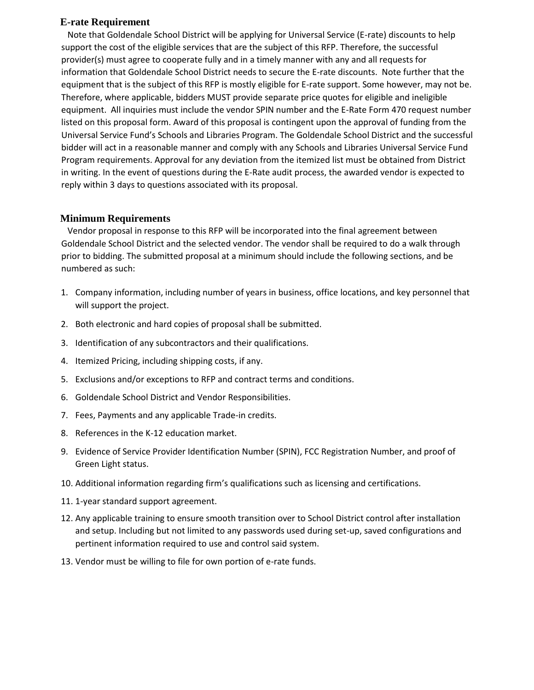## **E-rate Requirement**

 Note that Goldendale School District will be applying for Universal Service (E-rate) discounts to help support the cost of the eligible services that are the subject of this RFP. Therefore, the successful provider(s) must agree to cooperate fully and in a timely manner with any and all requests for information that Goldendale School District needs to secure the E-rate discounts. Note further that the equipment that is the subject of this RFP is mostly eligible for E-rate support. Some however, may not be. Therefore, where applicable, bidders MUST provide separate price quotes for eligible and ineligible equipment. All inquiries must include the vendor SPIN number and the E-Rate Form 470 request number listed on this proposal form. Award of this proposal is contingent upon the approval of funding from the Universal Service Fund's Schools and Libraries Program. The Goldendale School District and the successful bidder will act in a reasonable manner and comply with any Schools and Libraries Universal Service Fund Program requirements. Approval for any deviation from the itemized list must be obtained from District in writing. In the event of questions during the E-Rate audit process, the awarded vendor is expected to reply within 3 days to questions associated with its proposal.

# **Minimum Requirements**

 Vendor proposal in response to this RFP will be incorporated into the final agreement between Goldendale School District and the selected vendor. The vendor shall be required to do a walk through prior to bidding. The submitted proposal at a minimum should include the following sections, and be numbered as such:

- 1. Company information, including number of years in business, office locations, and key personnel that will support the project.
- 2. Both electronic and hard copies of proposal shall be submitted.
- 3. Identification of any subcontractors and their qualifications.
- 4. Itemized Pricing, including shipping costs, if any.
- 5. Exclusions and/or exceptions to RFP and contract terms and conditions.
- 6. Goldendale School District and Vendor Responsibilities.
- 7. Fees, Payments and any applicable Trade-in credits.
- 8. References in the K-12 education market.
- 9. Evidence of Service Provider Identification Number (SPIN), FCC Registration Number, and proof of Green Light status.
- 10. Additional information regarding firm's qualifications such as licensing and certifications.
- 11. 1-year standard support agreement.
- 12. Any applicable training to ensure smooth transition over to School District control after installation and setup. Including but not limited to any passwords used during set-up, saved configurations and pertinent information required to use and control said system.
- 13. Vendor must be willing to file for own portion of e-rate funds.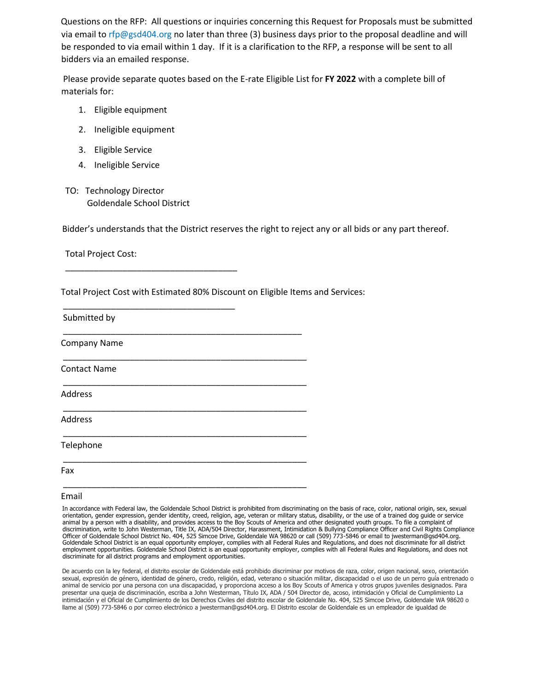Questions on the RFP: All questions or inquiries concerning this Request for Proposals must be submitted via email to rfp@gsd404.org no later than three (3) business days prior to the proposal deadline and will be responded to via email within 1 day. If it is a clarification to the RFP, a response will be sent to all bidders via an emailed response.

Please provide separate quotes based on the E-rate Eligible List for **FY 2022** with a complete bill of materials for:

- 1. Eligible equipment
- 2. Ineligible equipment
- 3. Eligible Service
- 4. Ineligible Service
- TO: Technology Director Goldendale School District

\_\_\_\_\_\_\_\_\_\_\_\_\_\_\_\_\_\_\_\_\_\_\_\_\_\_\_\_\_\_\_\_\_\_\_\_

\_\_\_\_\_\_\_\_\_\_\_\_\_\_\_\_\_\_\_\_\_\_\_\_\_\_\_\_\_\_\_\_\_\_\_\_

Bidder's understands that the District reserves the right to reject any or all bids or any part thereof.

Total Project Cost:

Total Project Cost with Estimated 80% Discount on Eligible Items and Services:

\_\_\_\_\_\_\_\_\_\_\_\_\_\_\_\_\_\_\_\_\_\_\_\_\_\_\_\_\_\_\_\_\_\_\_\_\_\_\_\_\_\_\_\_\_\_\_\_\_\_\_

\_\_\_\_\_\_\_\_\_\_\_\_\_\_\_\_\_\_\_\_\_\_\_\_\_\_\_\_\_\_\_\_\_\_\_\_\_\_\_\_\_\_\_\_\_\_\_\_\_\_\_

\_\_\_\_\_\_\_\_\_\_\_\_\_\_\_\_\_\_\_\_\_\_\_\_\_\_\_\_\_\_\_\_\_\_\_\_\_\_\_\_\_\_\_\_\_\_\_\_\_\_\_

Submitted by

\_\_\_\_\_\_\_\_\_\_\_\_\_\_\_\_\_\_\_\_\_\_\_\_\_\_\_\_\_\_\_\_\_\_\_\_\_\_\_\_\_\_\_\_\_\_\_\_\_\_ Company Name

\_\_\_\_\_\_\_\_\_\_\_\_\_\_\_\_\_\_\_\_\_\_\_\_\_\_\_\_\_\_\_\_\_\_\_\_\_\_\_\_\_\_\_\_\_\_\_\_\_\_\_ Contact Name

Address

\_\_\_\_\_\_\_\_\_\_\_\_\_\_\_\_\_\_\_\_\_\_\_\_\_\_\_\_\_\_\_\_\_\_\_\_\_\_\_\_\_\_\_\_\_\_\_\_\_\_\_ Address

Telephone

\_\_\_\_\_\_\_\_\_\_\_\_\_\_\_\_\_\_\_\_\_\_\_\_\_\_\_\_\_\_\_\_\_\_\_\_\_\_\_\_\_\_\_\_\_\_\_\_\_\_\_ Fax

Email

In accordance with Federal law, the Goldendale School District is prohibited from discriminating on the basis of race, color, national origin, sex, sexual orientation, gender expression, gender identity, creed, religion, age, veteran or military status, disability, or the use of a trained dog guide or service animal by a person with a disability, and provides access to the Boy Scouts of America and other designated youth groups. To file a complaint of<br>discrimination, write to John Westerman, Title IX, ADA/504 Director, Harassme Officer of Goldendale School District No. 404, 525 Simcoe Drive, Goldendale WA 98620 or call (509) 773-5846 or email to jwesterman@gsd404.org. Goldendale School District is an equal opportunity employer, complies with all Federal Rules and Regulations, and does not discriminate for all district employment opportunities. Goldendale School District is an equal opportunity employer, complies with all Federal Rules and Regulations, and does not discriminate for all district programs and employment opportunities.

De acuerdo con la ley federal, el distrito escolar de Goldendale está prohibido discriminar por motivos de raza, color, origen nacional, sexo, orientación sexual, expresión de género, identidad de género, credo, religión, edad, veterano o situación militar, discapacidad o el uso de un perro guía entrenado o animal de servicio por una persona con una discapacidad, y proporciona acceso a los Boy Scouts of America y otros grupos juveniles designados. Para presentar una queja de discriminación, escriba a John Westerman, Título IX, ADA / 504 Director de, acoso, intimidación y Oficial de Cumplimiento La intimidación y el Oficial de Cumplimiento de los Derechos Civiles del distrito escolar de Goldendale No. 404, 525 Simcoe Drive, Goldendale WA 98620 o llame al (509) 773-5846 o por correo electrónico a jwesterman@gsd404.org. El Distrito escolar de Goldendale es un empleador de igualdad de